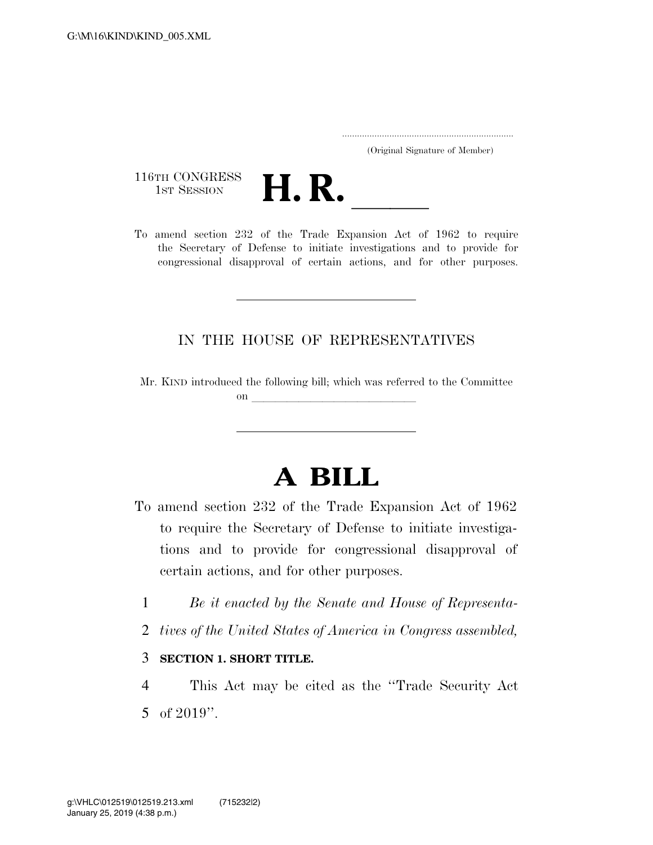..................................................................... (Original Signature of Member)

116TH CONGRESS<br>1st Session



116TH CONGRESS<br>1st SESSION **H. R.** <u>Independence of 1962</u> to require the Secretary of Defense to initiate investigations and to provide for congressional disapproval of certain actions, and for other purposes.

## IN THE HOUSE OF REPRESENTATIVES

Mr. KIND introduced the following bill; which was referred to the Committee on  $\overline{\phantom{a}}$ 

## **A BILL**

- To amend section 232 of the Trade Expansion Act of 1962 to require the Secretary of Defense to initiate investigations and to provide for congressional disapproval of certain actions, and for other purposes.
	- 1 *Be it enacted by the Senate and House of Representa-*
	- 2 *tives of the United States of America in Congress assembled,*

## 3 **SECTION 1. SHORT TITLE.**

4 This Act may be cited as the ''Trade Security Act 5 of 2019''.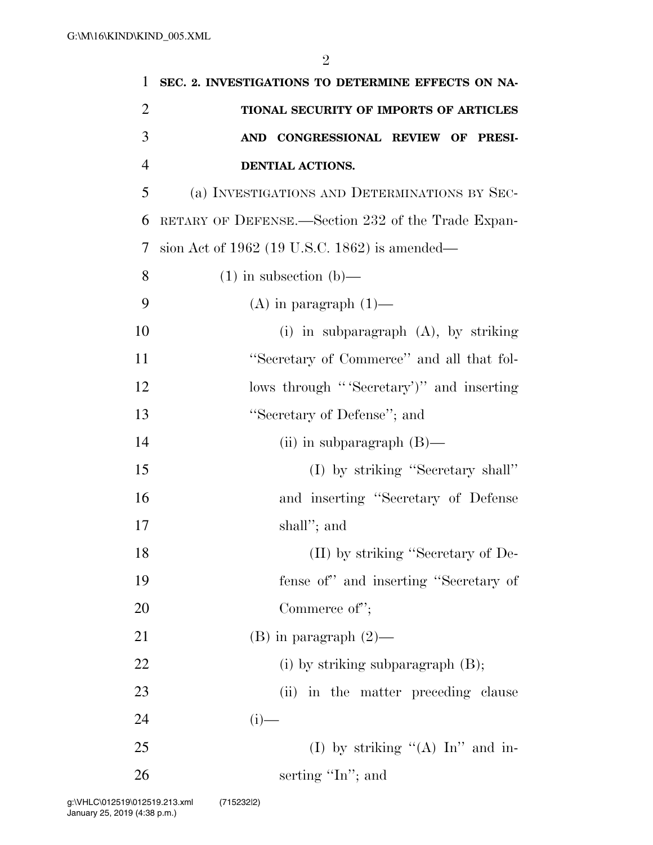| 1              | SEC. 2. INVESTIGATIONS TO DETERMINE EFFECTS ON NA- |
|----------------|----------------------------------------------------|
| $\overline{2}$ | TIONAL SECURITY OF IMPORTS OF ARTICLES             |
| 3              | AND CONGRESSIONAL REVIEW OF PRESI-                 |
| $\overline{4}$ | DENTIAL ACTIONS.                                   |
| 5              | (a) INVESTIGATIONS AND DETERMINATIONS BY SEC-      |
| 6              | RETARY OF DEFENSE.—Section 232 of the Trade Expan- |
| 7              | sion Act of $1962$ (19 U.S.C. 1862) is amended—    |
| 8              | $(1)$ in subsection $(b)$ —                        |
| 9              | $(A)$ in paragraph $(1)$ —                         |
| 10             | (i) in subparagraph $(A)$ , by striking            |
| 11             | "Secretary of Commerce" and all that fol-          |
| 12             | lows through "Secretary" and inserting             |
| 13             | "Secretary of Defense"; and                        |
| 14             | (ii) in subparagraph $(B)$ —                       |
| 15             | (I) by striking "Secretary shall"                  |
| 16             | and inserting "Secretary of Defense                |
| 17             | shall"; and                                        |
| 18             | (II) by striking "Secretary of De-                 |
| 19             | fense of" and inserting "Secretary of              |
| 20             | Commerce of";                                      |
| 21             | $(B)$ in paragraph $(2)$ —                         |
| 22             | (i) by striking subparagraph $(B)$ ;               |
| 23             | (ii) in the matter preceding clause                |
| 24             | $(i)$ —                                            |
| 25             | (I) by striking " $(A)$ In" and in-                |
| 26             | serting "In"; and                                  |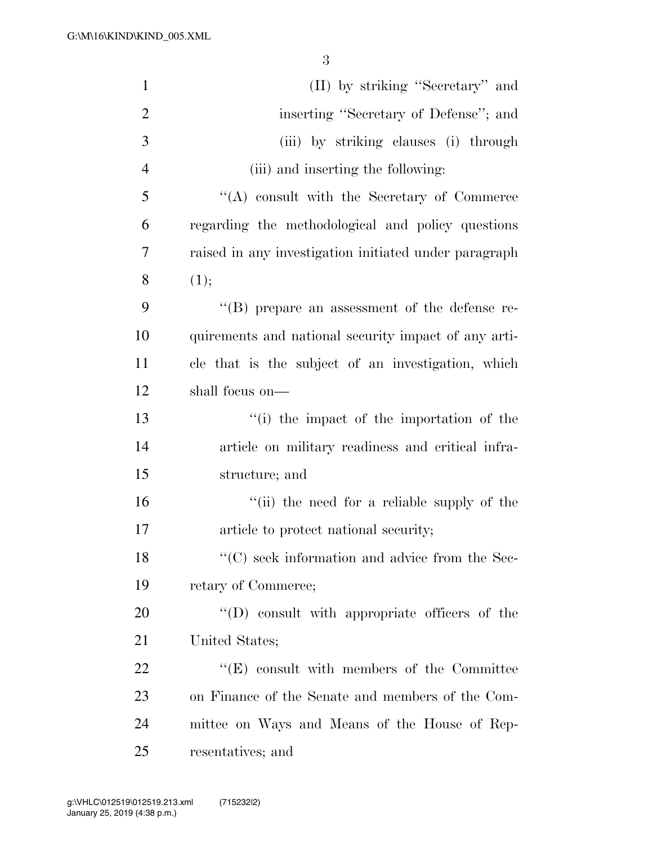| $\mathbf{1}$   | (II) by striking "Secretary" and                      |
|----------------|-------------------------------------------------------|
| $\overline{2}$ | inserting "Secretary of Defense"; and                 |
| 3              | (iii) by striking clauses (i) through                 |
| $\overline{4}$ | (iii) and inserting the following:                    |
| 5              | $\lq\lq$ consult with the Secretary of Commerce       |
| 6              | regarding the methodological and policy questions     |
| 7              | raised in any investigation initiated under paragraph |
| 8              | (1);                                                  |
| 9              | "(B) prepare an assessment of the defense re-         |
| 10             | quirements and national security impact of any arti-  |
| 11             | cle that is the subject of an investigation, which    |
| 12             | shall focus on—                                       |
| 13             | "(i) the impact of the importation of the             |
| 14             | article on military readiness and critical infra-     |
| 15             | structure; and                                        |
| 16             | "(ii) the need for a reliable supply of the           |
| $17\,$         | article to protect national security;                 |
| 18             | $\lq\lq$ seek information and advice from the Sec-    |
| 19             | retary of Commerce;                                   |
| 20             | $\lq\lq$ (D) consult with appropriate officers of the |
| 21             | United States;                                        |
| 22             | $\lq\lq(E)$ consult with members of the Committee     |
| 23             | on Finance of the Senate and members of the Com-      |
| 24             | mittee on Ways and Means of the House of Rep-         |
| 25             | resentatives; and                                     |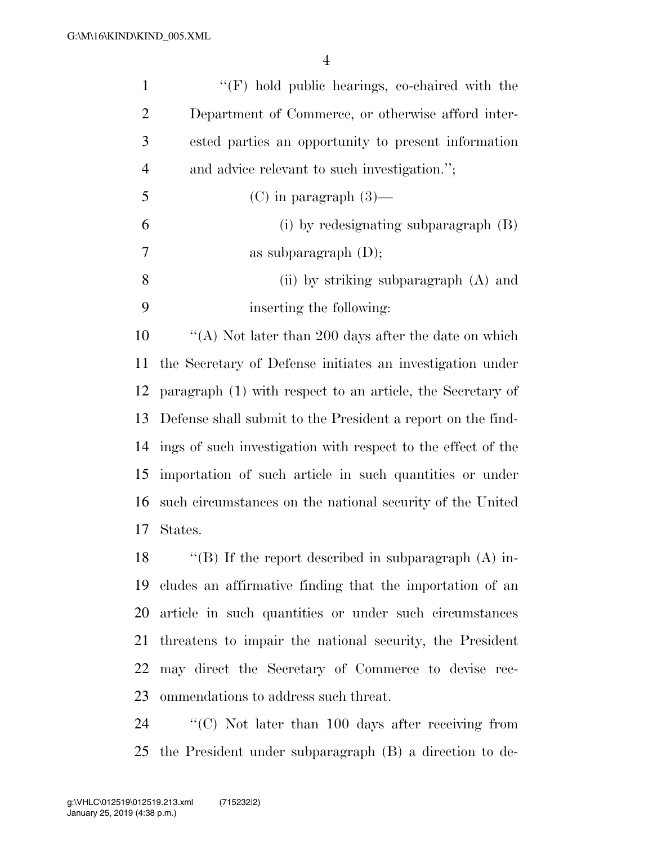| $\mathbf{1}$   | $\lq\lq(F)$ hold public hearings, co-chaired with the        |
|----------------|--------------------------------------------------------------|
| $\overline{2}$ | Department of Commerce, or otherwise afford inter-           |
| 3              | ested parties an opportunity to present information          |
| $\overline{4}$ | and advice relevant to such investigation.";                 |
| 5              | $(C)$ in paragraph $(3)$ —                                   |
| 6              | (i) by redesignating subparagraph (B)                        |
| 7              | as subparagraph $(D)$ ;                                      |
| 8              | (ii) by striking subparagraph (A) and                        |
| 9              | inserting the following:                                     |
| 10             | "(A) Not later than 200 days after the date on which         |
| 11             | the Secretary of Defense initiates an investigation under    |
| 12             | paragraph (1) with respect to an article, the Secretary of   |
| 13             | Defense shall submit to the President a report on the find-  |
| 14             | ings of such investigation with respect to the effect of the |
| 15             | importation of such article in such quantities or under      |
| 16             | such circumstances on the national security of the United    |
| 17             | States.                                                      |
| 18             | "(B) If the report described in subparagraph $(A)$ in-       |
| 19             | cludes an affirmative finding that the importation of an     |
| 20             | article in such quantities or under such circumstances       |
| 21             | threatens to impair the national security, the President     |
| 22             | may direct the Secretary of Commerce to devise rec-          |
| 23             | ommendations to address such threat.                         |
|                |                                                              |

 ''(C) Not later than 100 days after receiving from the President under subparagraph (B) a direction to de-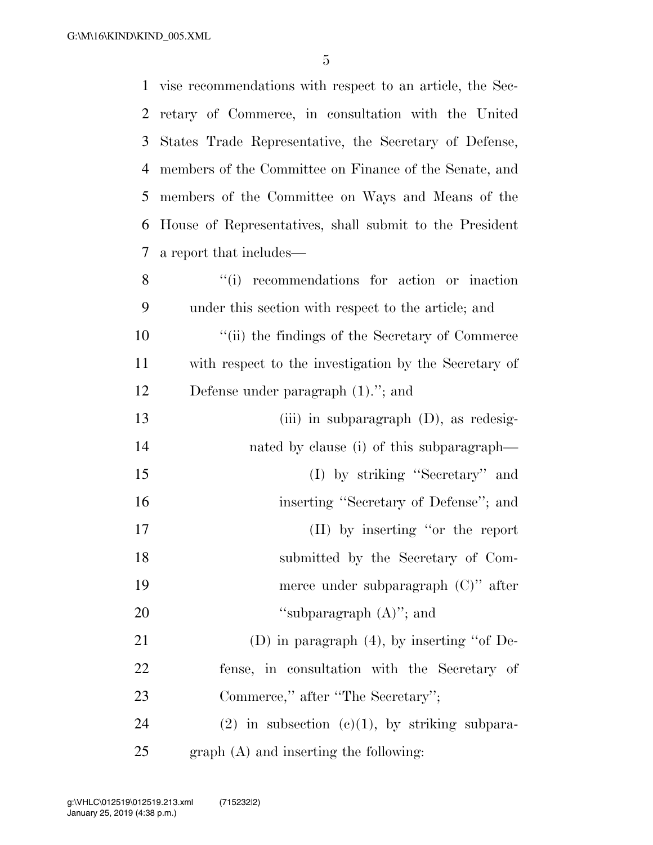|                | 1 vise recommendations with respect to an article, the Sec- |
|----------------|-------------------------------------------------------------|
| 2              | retary of Commerce, in consultation with the United         |
| 3              | States Trade Representative, the Secretary of Defense,      |
| $\overline{4}$ | members of the Committee on Finance of the Senate, and      |
| 5              | members of the Committee on Ways and Means of the           |
| 6              | House of Representatives, shall submit to the President     |
| $\tau$         | a report that includes—                                     |
| 8              | ``(i)<br>recommendations for action or inaction             |
| 9              | under this section with respect to the article; and         |
| 10             | "(ii) the findings of the Secretary of Commerce"            |
| 11             | with respect to the investigation by the Secretary of       |
| 12             | Defense under paragraph $(1)$ ."; and                       |
| 13             | (iii) in subparagraph $(D)$ , as redesig-                   |
| 14             | nated by clause (i) of this subparagraph—                   |
| 15             | (I) by striking "Secretary" and                             |
| 16             | inserting "Secretary of Defense"; and                       |
| 17             | (II) by inserting "or the report                            |
| 18             | submitted by the Secretary of Com-                          |
| 19             | merce under subparagraph $(C)$ " after                      |
| 20             | "subparagraph $(A)$ "; and                                  |
| 21             | (D) in paragraph $(4)$ , by inserting "of De-               |
| 22             | fense, in consultation with the Secretary of                |
| 23             | Commerce," after "The Secretary";                           |
| 24             | $(2)$ in subsection $(e)(1)$ , by striking subpara-         |
| 25             | graph (A) and inserting the following:                      |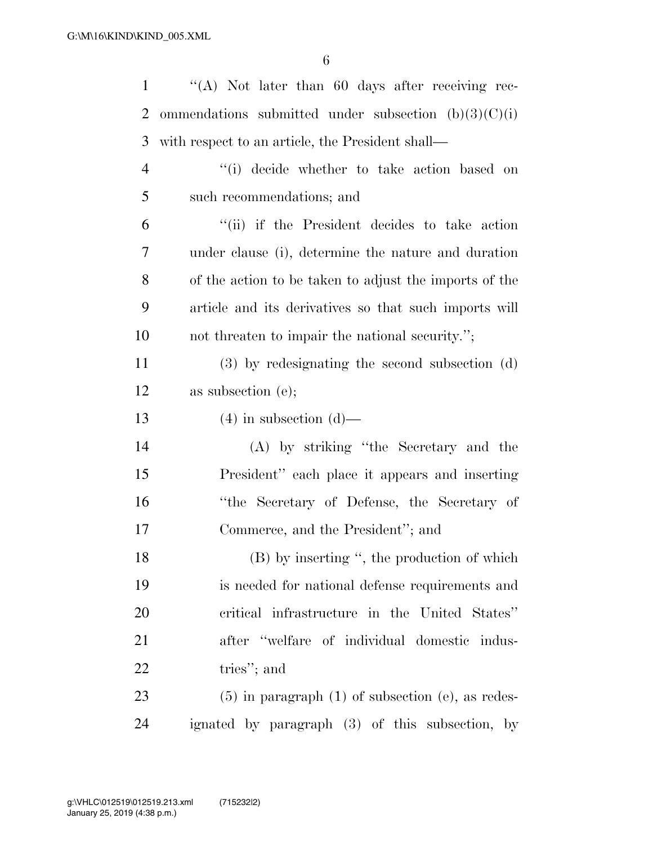| 1              | "(A) Not later than 60 days after receiving rec-         |
|----------------|----------------------------------------------------------|
| 2              | ommendations submitted under subsection $(b)(3)(C)(i)$   |
| 3              | with respect to an article, the President shall—         |
| $\overline{4}$ | "(i) decide whether to take action based on              |
| 5              | such recommendations; and                                |
| 6              | "(ii) if the President decides to take action            |
| 7              | under clause (i), determine the nature and duration      |
| 8              | of the action to be taken to adjust the imports of the   |
| 9              | article and its derivatives so that such imports will    |
| 10             | not threaten to impair the national security.";          |
| 11             | $(3)$ by redesignating the second subsection $(d)$       |
| 12             | as subsection (e);                                       |
| 13             | $(4)$ in subsection $(d)$ —                              |
| 14             | (A) by striking "the Secretary and the                   |
| 15             | President" each place it appears and inserting           |
| 16             | "the Secretary of Defense, the Secretary of              |
| 17             | Commerce, and the President"; and                        |
| 18             | (B) by inserting ", the production of which              |
| 19             | is needed for national defense requirements and          |
| 20             | critical infrastructure in the United States"            |
| 21             | after "welfare of individual domestic indus-             |
| <u>22</u>      | tries"; and                                              |
| 23             | $(5)$ in paragraph $(1)$ of subsection $(e)$ , as redes- |
| 24             | ignated by paragraph (3) of this subsection, by          |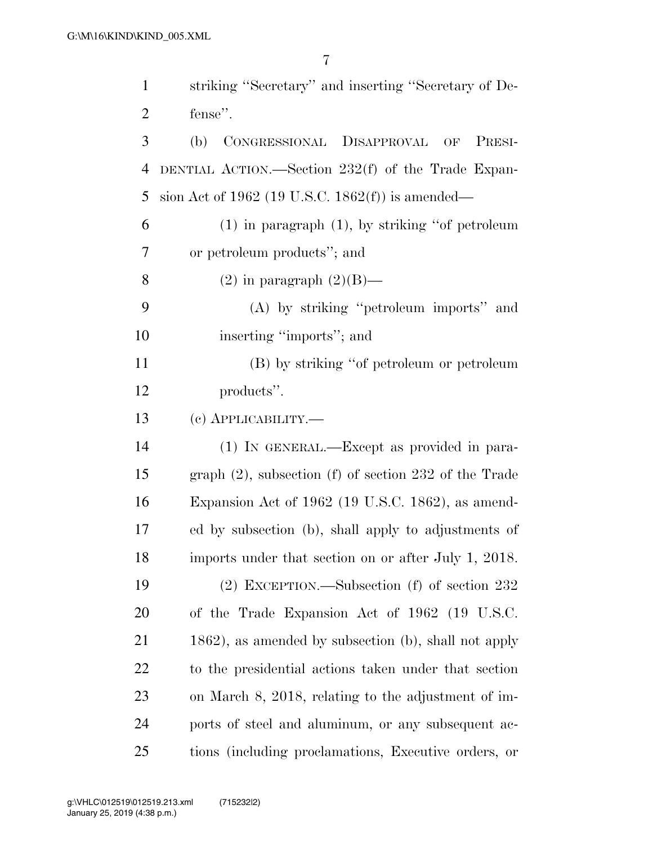| $\mathbf{1}$   | striking "Secretary" and inserting "Secretary of De-       |
|----------------|------------------------------------------------------------|
| $\overline{2}$ | fense".                                                    |
| 3              | (b) CONGRESSIONAL DISAPPROVAL OF<br>PRESI-                 |
| 4              | DENTIAL ACTION.—Section $232(f)$ of the Trade Expan-       |
| 5              | sion Act of 1962 (19 U.S.C. 1862 $(f)$ ) is amended—       |
| 6              | $(1)$ in paragraph $(1)$ , by striking "of petroleum       |
| 7              | or petroleum products"; and                                |
| 8              | $(2)$ in paragraph $(2)(B)$ —                              |
| 9              | (A) by striking "petroleum imports" and                    |
| 10             | inserting "imports"; and                                   |
| 11             | (B) by striking "of petroleum or petroleum                 |
| 12             | products".                                                 |
| 13             | (c) APPLICABILITY.—                                        |
| 14             | (1) IN GENERAL.—Except as provided in para-                |
| 15             | graph $(2)$ , subsection $(f)$ of section 232 of the Trade |
| 16             | Expansion Act of 1962 (19 U.S.C. 1862), as amend-          |
| 17             | ed by subsection (b), shall apply to adjustments of        |
| 18             | imports under that section on or after July 1, 2018.       |
| 19             | $(2)$ EXCEPTION.—Subsection (f) of section 232             |
| 20             | of the Trade Expansion Act of 1962 (19 U.S.C.              |
| 21             | 1862), as amended by subsection (b), shall not apply       |
| 22             | to the presidential actions taken under that section       |
| 23             | on March 8, 2018, relating to the adjustment of im-        |
| 24             | ports of steel and aluminum, or any subsequent ac-         |
| 25             | tions (including proclamations, Executive orders, or       |